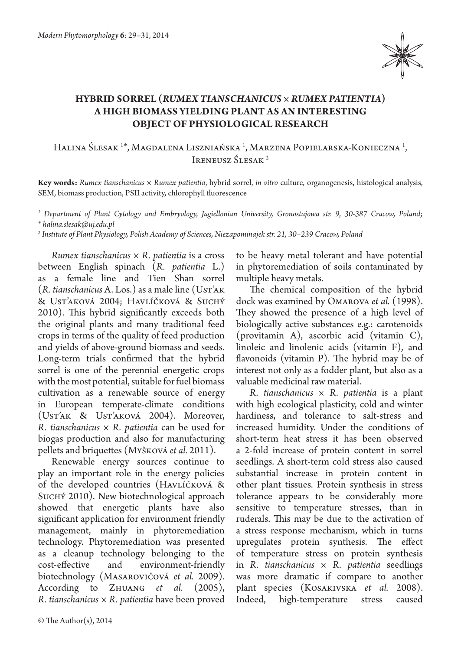

## **HYBRID SORREL (***RUMEX TIANSCHANICUS* **×** *RUMEX PATIENTIA***) A HIGH BIOMASS YIELDING PLANT AS AN INTERESTING OBJECT OF PHYSIOLOGICAL RESEARCH**

Halina Ślesak <sup>1</sup>\*, Magdalena Liszniańska <sup>1</sup>, Marzena Popielarska-Konieczna <sup>1</sup>, IRENEUSZ ŚLESAK<sup>2</sup>

**Key words:** *Rumex tianschanicus × Rumex patientia*, hybrid sorrel, *in vitro* culture, organogenesis, histological analysis, SEM, biomass production, PSII activity, chlorophyll fluorescence

*1 Department of Plant Cytology and Embryology, Jagiellonian University, Gronostajowa str. 9, 30-387 Cracow, Poland; \* halina.slesak@uj.edu.pl*

*2 Institute of Plant Physiology, Polish Academy of Sciences, Niezapominajek str. 21, 30–239 Cracow, Poland*

*Rumex tianschanicus × R. patientia* is a cross between English spinach (*R. patientia*  L.) as a female line and Tien Shan sorrel (*R. tianschanicus* A. Los.) as a male line (Ust'ak & Ust'aková 2004; Havlíčková & Suchý 2010). This hybrid significantly exceeds both the original plants and many traditional feed crops in terms of the quality of feed production and yields of above-ground biomass and seeds. Long-term trials confirmed that the hybrid sorrel is one of the perennial energetic crops with the most potential, suitable for fuel biomass cultivation as a renewable source of energy in European temperate-climate conditions (Ust'ak & Ust'aková 2004). Moreover, *R. tianschanicus × R. patientia* can be used for biogas production and also for manufacturing pellets and briquettes (Myšková *et al.* 2011).

Renewable energy sources continue to play an important role in the energy policies of the developed countries (HAVLÍČKOVÁ & SUCHÝ 2010). New biotechnological approach showed that energetic plants have also significant application for environment friendly management, mainly in phytoremediation technology. Phytoremediation was presented as a cleanup technology belonging to the<br>cost-effective and environment-friendly environment-friendly biotechnology (Masarovičová *et al.*  2009). According to Zhuang *et al.* (2005), *R. tianschanicus × R. patientia* have been proved

to be heavy metal tolerant and have potential in phytoremediation of soils contaminated by multiple heavy metals.

The chemical composition of the hybrid dock was examined by Omarova *et al.* (1998). They showed the presence of a high level of biologically active substances e.g.: carotenoids (provitamin A), ascorbic acid (vitamin C), linoleic and linolenic acids (vitamin F), and flavonoids (vitamin P). The hybrid may be of interest not only as a fodder plant, but also as a valuable medicinal raw material.

*R. tianschanicus × R. patientia* is a plant with high ecological plasticity, cold and winter hardiness, and tolerance to salt-stress and increased humidity. Under the conditions of short-term heat stress it has been observed a 2-fold increase of protein content in sorrel seedlings. A short-term cold stress also caused substantial increase in protein content in other plant tissues. Protein synthesis in stress tolerance appears to be considerably more sensitive to temperature stresses, than in ruderals. This may be due to the activation of a stress response mechanism, which in turns upregulates protein synthesis. The effect of temperature stress on protein synthesis in *R. tianschanicus × R. patientia* seedlings was more dramatic if compare to another plant species (Kosakivska *et al.* 2008). Indeed, high-temperature stress caused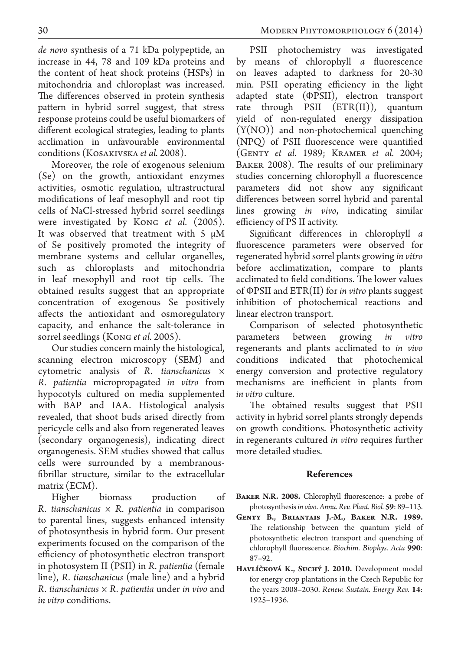*de novo* synthesis of a 71 kDa polypeptide, an increase in 44, 78 and 109 kDa proteins and the content of heat shock proteins (HSPs) in mitochondria and chloroplast was increased. The differences observed in protein synthesis pattern in hybrid sorrel suggest, that stress response proteins could be useful biomarkers of different ecological strategies, leading to plants acclimation in unfavourable environmental conditions (Kosakivska *et al.* 2008).

Moreover, the role of exogenous selenium (Se) on the growth, antioxidant enzymes activities, osmotic regulation, ultrastructural modifications of leaf mesophyll and root tip cells of NaCl-stressed hybrid sorrel seedlings were investigated by Kong *et al.* (2005). It was observed that treatment with  $5 \mu M$ of Se positively promoted the integrity of membrane systems and cellular organelles, such as chloroplasts and mitochondria in leaf mesophyll and root tip cells. The obtained results suggest that an appropriate concentration of exogenous Se positively affects the antioxidant and osmoregulatory capacity, and enhance the salt-tolerance in sorrel seedlings (Kong *et al.* 2005).

Our studies concern mainly the histological, scanning electron microscopy (SEM) and cytometric analysis of *R. tianschanicus × R. patientia* micropropagated *in vitro* from hypocotyls cultured on media supplemented with BAP and IAA. Histological analysis revealed, that shoot buds arised directly from pericycle cells and also from regenerated leaves (secondary organogenesis), indicating direct organogenesis. SEM studies showed that callus cells were surrounded by a membranousfibrillar structure, similar to the extracellular matrix (ECM).

Higher biomass production of *R. tianschanicus × R. patientia* in comparison to parental lines, suggests enhanced intensity of photosynthesis in hybrid form. Our present experiments focused on the comparison of the efficiency of photosynthetic electron transport in photosystem II (PSII) in *R. patientia* (female line), *R. tianschanicus* (male line) and a hybrid *R. tianschanicus × R. patientia* under *in vivo* and *in vitro* conditions.

PSII photochemistry was investigated by means of chlorophyll *a* fluorescence on leaves adapted to darkness for 20-30 min. PSII operating efficiency in the light adapted state (ΦPSII), electron transport rate through PSII (ETR(II)), quantum yield of non-regulated energy dissipation (Y(NO)) and non-photochemical quenching (NPQ) of PSII fluorescence were quantified (Genty *et al.*  1989; Kramer *et al.* 2004; BAKER 2008). The results of our preliminary studies concerning chlorophyll *a* fluorescence parameters did not show any significant differences between sorrel hybrid and parental lines growing *in vivo*, indicating similar efficiency of PS II activity.

Significant differences in chlorophyll *a*  fluorescence parameters were observed for regenerated hybrid sorrel plants growing *in vitro* before acclimatization, compare to plants acclimated to field conditions. The lower values of ΦPSII and ETR(II) for *in vitro* plants suggest inhibition of photochemical reactions and linear electron transport.

Comparison of selected photosynthetic parameters between growing *in vitro*  regenerants and plants acclimated to *in vivo*  conditions indicated that photochemical energy conversion and protective regulatory mechanisms are inefficient in plants from *in vitro* culture.

The obtained results suggest that PSII activity in hybrid sorrel plants strongly depends on growth conditions. Photosynthetic activity in regenerants cultured *in vitro* requires further more detailed studies.

## **References**

- BAKER N.R. 2008. Chlorophyll fluorescence: a probe of photosynthesis *in vivo*. *Annu. Rev. Plant. Biol.* **59**: 89–113.
- **Genty B., Briantais J.-M., Baker N.R. 1989.**  The relationship between the quantum yield of photosynthetic electron transport and quenching of chlorophyll fluorescence. *Biochim. Biophys. Acta* **990**: 87–92.
- Havlíčková K., Suchý J. 2010. Development model for energy crop plantations in the Czech Republic for the years 2008–2030. *Renew. Sustain. Energy Rev.* **14**: 1925–1936.